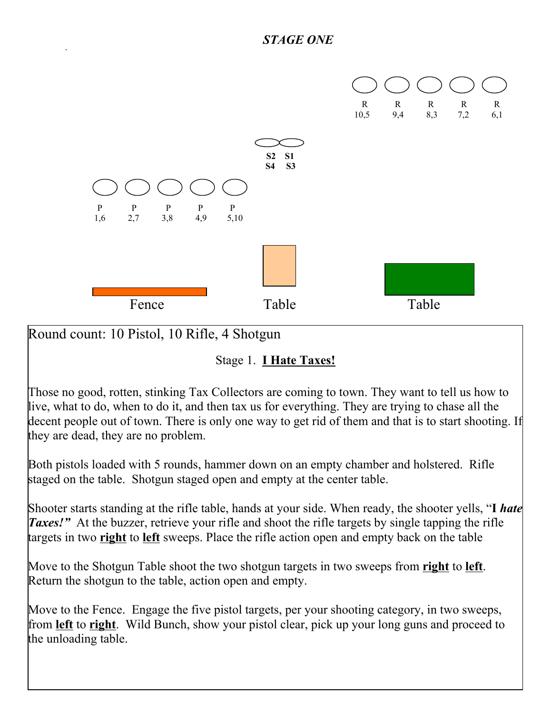

Round count: 10 Pistol, 10 Rifle, 4 Shotgun

 $\sum_{i=1}^n \alpha_i = \sum_{i=1}^n \alpha_i$ 

Stage 1. **I Hate Taxes!**

Those no good, rotten, stinking Tax Collectors are coming to town. They want to tell us how to live, what to do, when to do it, and then tax us for everything. They are trying to chase all the decent people out of town. There is only one way to get rid of them and that is to start shooting. If they are dead, they are no problem.

Both pistols loaded with 5 rounds, hammer down on an empty chamber and holstered. Rifle staged on the table. Shotgun staged open and empty at the center table.

Shooter starts standing at the rifle table, hands at your side. When ready, the shooter yells, "**I** *hate Taxes!* At the buzzer, retrieve your rifle and shoot the rifle targets by single tapping the rifle targets in two **right** to **left** sweeps. Place the rifle action open and empty back on the table

Move to the Shotgun Table shoot the two shotgun targets in two sweeps from **right** to **left**. Return the shotgun to the table, action open and empty.

Move to the Fence. Engage the five pistol targets, per your shooting category, in two sweeps, from **left** to **right**. Wild Bunch, show your pistol clear, pick up your long guns and proceed to the unloading table.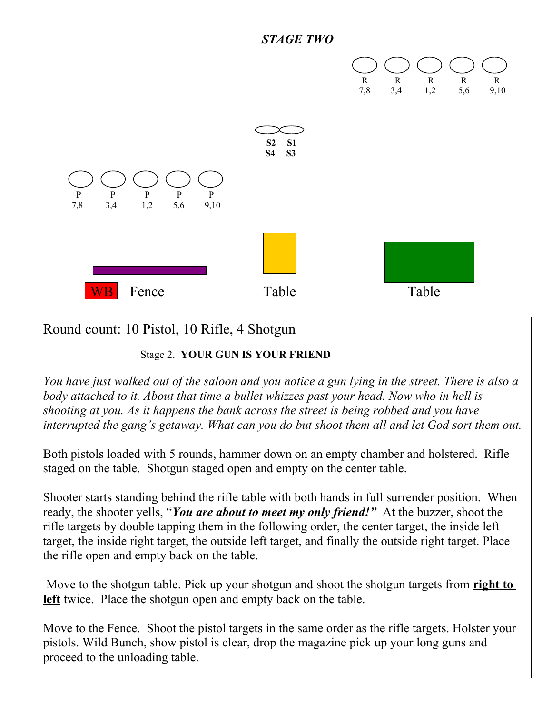



# Round count: 10 Pistol, 10 Rifle, 4 Shotgun

#### Stage 2. **YOUR GUN IS YOUR FRIEND**

*You have just walked out of the saloon and you notice a gun lying in the street. There is also a body attached to it. About that time a bullet whizzes past your head. Now who in hell is shooting at you. As it happens the bank across the street is being robbed and you have interrupted the gang's getaway. What can you do but shoot them all and let God sort them out.*

Both pistols loaded with 5 rounds, hammer down on an empty chamber and holstered. Rifle staged on the table. Shotgun staged open and empty on the center table.

Shooter starts standing behind the rifle table with both hands in full surrender position. When ready, the shooter yells, "*You are about to meet my only friend!"* At the buzzer, shoot the rifle targets by double tapping them in the following order, the center target, the inside left target, the inside right target, the outside left target, and finally the outside right target. Place the rifle open and empty back on the table.

 Move to the shotgun table. Pick up your shotgun and shoot the shotgun targets from **right to left** twice. Place the shotgun open and empty back on the table.

Move to the Fence. Shoot the pistol targets in the same order as the rifle targets. Holster your pistols. Wild Bunch, show pistol is clear, drop the magazine pick up your long guns and proceed to the unloading table.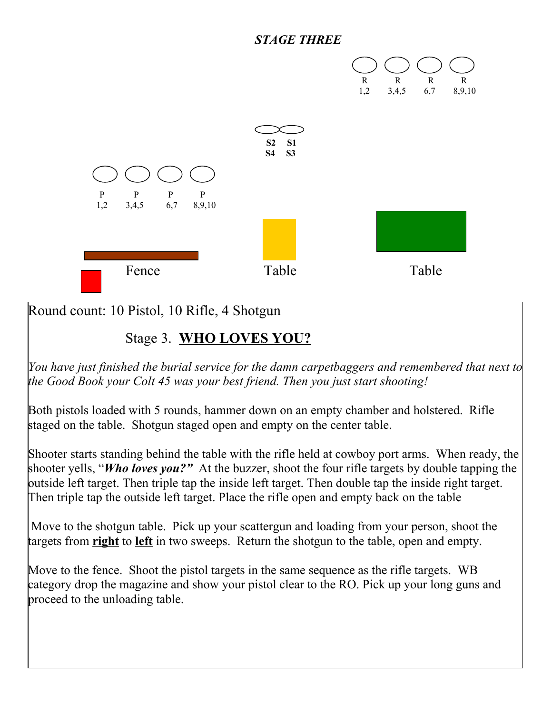### *STAGE THREE*



Round count: 10 Pistol, 10 Rifle, 4 Shotgun

### Stage 3. **WHO LOVES YOU?**

*You have just finished the burial service for the damn carpetbaggers and remembered that next to the Good Book your Colt 45 was your best friend. Then you just start shooting!*

Both pistols loaded with 5 rounds, hammer down on an empty chamber and holstered. Rifle staged on the table. Shotgun staged open and empty on the center table.

Shooter starts standing behind the table with the rifle held at cowboy port arms. When ready, the shooter yells, "*Who loves you?"* At the buzzer, shoot the four rifle targets by double tapping the outside left target. Then triple tap the inside left target. Then double tap the inside right target. Then triple tap the outside left target. Place the rifle open and empty back on the table

 Move to the shotgun table. Pick up your scattergun and loading from your person, shoot the targets from **right** to **left** in two sweeps. Return the shotgun to the table, open and empty.

Move to the fence. Shoot the pistol targets in the same sequence as the rifle targets. WB category drop the magazine and show your pistol clear to the RO. Pick up your long guns and proceed to the unloading table.